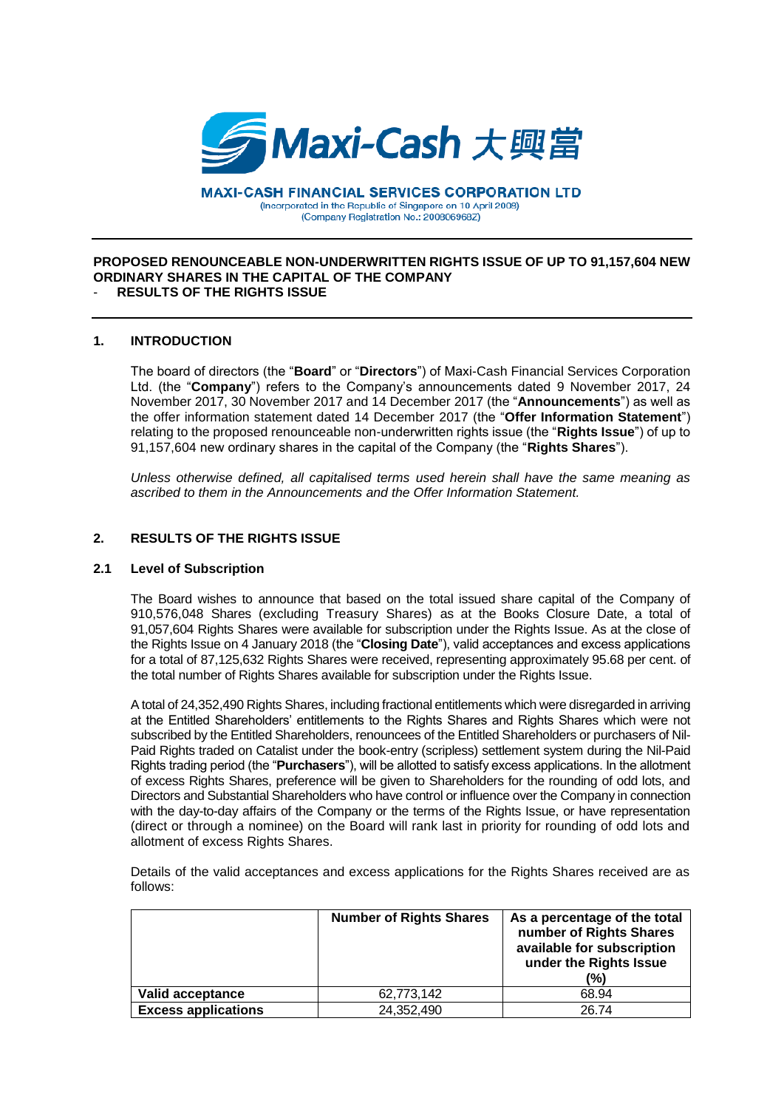

**MAXI-CASH FINANCIAL SERVICES CORPORATION LTD** (Incorporated in the Republic of Singapore on 10 April 2008) (Company Registration No.: 200806968Z)

#### **PROPOSED RENOUNCEABLE NON-UNDERWRITTEN RIGHTS ISSUE OF UP TO 91,157,604 NEW ORDINARY SHARES IN THE CAPITAL OF THE COMPANY** - **RESULTS OF THE RIGHTS ISSUE**

### **1. INTRODUCTION**

The board of directors (the "**Board**" or "**Directors**") of Maxi-Cash Financial Services Corporation Ltd. (the "**Company**") refers to the Company's announcements dated 9 November 2017, 24 November 2017, 30 November 2017 and 14 December 2017 (the "**Announcements**") as well as the offer information statement dated 14 December 2017 (the "**Offer Information Statement**") relating to the proposed renounceable non-underwritten rights issue (the "**Rights Issue**") of up to 91,157,604 new ordinary shares in the capital of the Company (the "**Rights Shares**").

*Unless otherwise defined, all capitalised terms used herein shall have the same meaning as ascribed to them in the Announcements and the Offer Information Statement.*

# **2. RESULTS OF THE RIGHTS ISSUE**

## **2.1 Level of Subscription**

The Board wishes to announce that based on the total issued share capital of the Company of 910,576,048 Shares (excluding Treasury Shares) as at the Books Closure Date, a total of 91,057,604 Rights Shares were available for subscription under the Rights Issue. As at the close of the Rights Issue on 4 January 2018 (the "**Closing Date**"), valid acceptances and excess applications for a total of 87,125,632 Rights Shares were received, representing approximately 95.68 per cent. of the total number of Rights Shares available for subscription under the Rights Issue.

A total of 24,352,490 Rights Shares, including fractional entitlements which were disregarded in arriving at the Entitled Shareholders' entitlements to the Rights Shares and Rights Shares which were not subscribed by the Entitled Shareholders, renouncees of the Entitled Shareholders or purchasers of Nil-Paid Rights traded on Catalist under the book-entry (scripless) settlement system during the Nil-Paid Rights trading period (the "**Purchasers**"), will be allotted to satisfy excess applications. In the allotment of excess Rights Shares, preference will be given to Shareholders for the rounding of odd lots, and Directors and Substantial Shareholders who have control or influence over the Company in connection with the day-to-day affairs of the Company or the terms of the Rights Issue, or have representation (direct or through a nominee) on the Board will rank last in priority for rounding of odd lots and allotment of excess Rights Shares.

Details of the valid acceptances and excess applications for the Rights Shares received are as follows:

|                            | <b>Number of Rights Shares</b> | As a percentage of the total<br>number of Rights Shares<br>available for subscription<br>under the Rights Issue<br>(%) |
|----------------------------|--------------------------------|------------------------------------------------------------------------------------------------------------------------|
| <b>Valid acceptance</b>    | 62,773,142                     | 68.94                                                                                                                  |
| <b>Excess applications</b> | 24,352,490                     | 2674                                                                                                                   |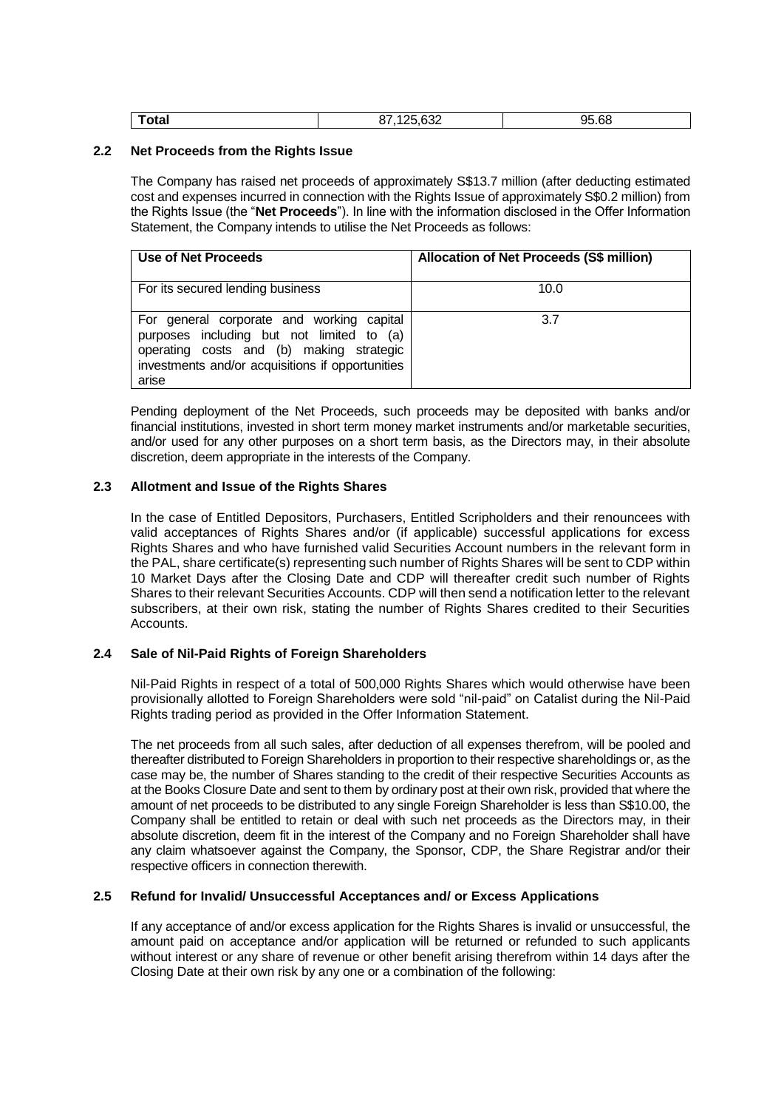| $\sim$<br>υιαι<br>_____ | $\sim$<br>⊸טי<br>___ | 95.68 |
|-------------------------|----------------------|-------|
|                         |                      |       |

## **2.2 Net Proceeds from the Rights Issue**

The Company has raised net proceeds of approximately S\$13.7 million (after deducting estimated cost and expenses incurred in connection with the Rights Issue of approximately S\$0.2 million) from the Rights Issue (the "**Net Proceeds**"). In line with the information disclosed in the Offer Information Statement, the Company intends to utilise the Net Proceeds as follows:

| Use of Net Proceeds                                                                                                                                                                             | Allocation of Net Proceeds (S\$ million) |
|-------------------------------------------------------------------------------------------------------------------------------------------------------------------------------------------------|------------------------------------------|
| For its secured lending business                                                                                                                                                                | 10.0                                     |
| For general corporate and working capital<br>purposes including but not limited to (a)<br>operating costs and (b) making strategic<br>investments and/or acquisitions if opportunities<br>arise | 3.7                                      |

Pending deployment of the Net Proceeds, such proceeds may be deposited with banks and/or financial institutions, invested in short term money market instruments and/or marketable securities, and/or used for any other purposes on a short term basis, as the Directors may, in their absolute discretion, deem appropriate in the interests of the Company.

## **2.3 Allotment and Issue of the Rights Shares**

In the case of Entitled Depositors, Purchasers, Entitled Scripholders and their renouncees with valid acceptances of Rights Shares and/or (if applicable) successful applications for excess Rights Shares and who have furnished valid Securities Account numbers in the relevant form in the PAL, share certificate(s) representing such number of Rights Shares will be sent to CDP within 10 Market Days after the Closing Date and CDP will thereafter credit such number of Rights Shares to their relevant Securities Accounts. CDP will then send a notification letter to the relevant subscribers, at their own risk, stating the number of Rights Shares credited to their Securities Accounts.

### **2.4 Sale of Nil-Paid Rights of Foreign Shareholders**

Nil-Paid Rights in respect of a total of 500,000 Rights Shares which would otherwise have been provisionally allotted to Foreign Shareholders were sold "nil-paid" on Catalist during the Nil-Paid Rights trading period as provided in the Offer Information Statement.

The net proceeds from all such sales, after deduction of all expenses therefrom, will be pooled and thereafter distributed to Foreign Shareholders in proportion to their respective shareholdings or, as the case may be, the number of Shares standing to the credit of their respective Securities Accounts as at the Books Closure Date and sent to them by ordinary post at their own risk, provided that where the amount of net proceeds to be distributed to any single Foreign Shareholder is less than S\$10.00, the Company shall be entitled to retain or deal with such net proceeds as the Directors may, in their absolute discretion, deem fit in the interest of the Company and no Foreign Shareholder shall have any claim whatsoever against the Company, the Sponsor, CDP, the Share Registrar and/or their respective officers in connection therewith.

### **2.5 Refund for Invalid/ Unsuccessful Acceptances and/ or Excess Applications**

If any acceptance of and/or excess application for the Rights Shares is invalid or unsuccessful, the amount paid on acceptance and/or application will be returned or refunded to such applicants without interest or any share of revenue or other benefit arising therefrom within 14 days after the Closing Date at their own risk by any one or a combination of the following: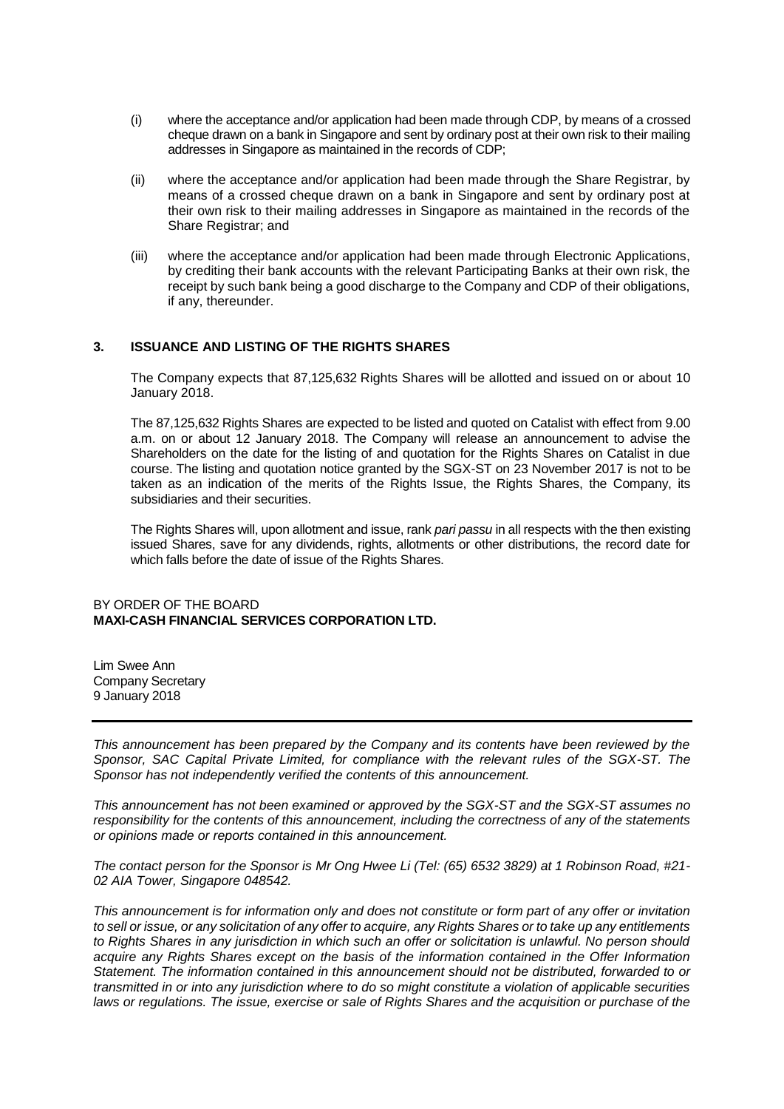- (i) where the acceptance and/or application had been made through CDP, by means of a crossed cheque drawn on a bank in Singapore and sent by ordinary post at their own risk to their mailing addresses in Singapore as maintained in the records of CDP;
- (ii) where the acceptance and/or application had been made through the Share Registrar, by means of a crossed cheque drawn on a bank in Singapore and sent by ordinary post at their own risk to their mailing addresses in Singapore as maintained in the records of the Share Registrar; and
- (iii) where the acceptance and/or application had been made through Electronic Applications, by crediting their bank accounts with the relevant Participating Banks at their own risk, the receipt by such bank being a good discharge to the Company and CDP of their obligations, if any, thereunder.

## **3. ISSUANCE AND LISTING OF THE RIGHTS SHARES**

The Company expects that 87,125,632 Rights Shares will be allotted and issued on or about 10 January 2018.

The 87,125,632 Rights Shares are expected to be listed and quoted on Catalist with effect from 9.00 a.m. on or about 12 January 2018. The Company will release an announcement to advise the Shareholders on the date for the listing of and quotation for the Rights Shares on Catalist in due course. The listing and quotation notice granted by the SGX-ST on 23 November 2017 is not to be taken as an indication of the merits of the Rights Issue, the Rights Shares, the Company, its subsidiaries and their securities.

The Rights Shares will, upon allotment and issue, rank *pari passu* in all respects with the then existing issued Shares, save for any dividends, rights, allotments or other distributions, the record date for which falls before the date of issue of the Rights Shares.

### BY ORDER OF THE BOARD **MAXI-CASH FINANCIAL SERVICES CORPORATION LTD.**

Lim Swee Ann Company Secretary 9 January 2018

*This announcement has been prepared by the Company and its contents have been reviewed by the Sponsor, SAC Capital Private Limited, for compliance with the relevant rules of the SGX-ST. The Sponsor has not independently verified the contents of this announcement.*

*This announcement has not been examined or approved by the SGX-ST and the SGX-ST assumes no responsibility for the contents of this announcement, including the correctness of any of the statements or opinions made or reports contained in this announcement.*

*The contact person for the Sponsor is Mr Ong Hwee Li (Tel: (65) 6532 3829) at 1 Robinson Road, #21- 02 AIA Tower, Singapore 048542.*

*This announcement is for information only and does not constitute or form part of any offer or invitation to sell or issue, or any solicitation of any offer to acquire, any Rights Shares or to take up any entitlements to Rights Shares in any jurisdiction in which such an offer or solicitation is unlawful. No person should acquire any Rights Shares except on the basis of the information contained in the Offer Information Statement. The information contained in this announcement should not be distributed, forwarded to or transmitted in or into any jurisdiction where to do so might constitute a violation of applicable securities laws or regulations. The issue, exercise or sale of Rights Shares and the acquisition or purchase of the*